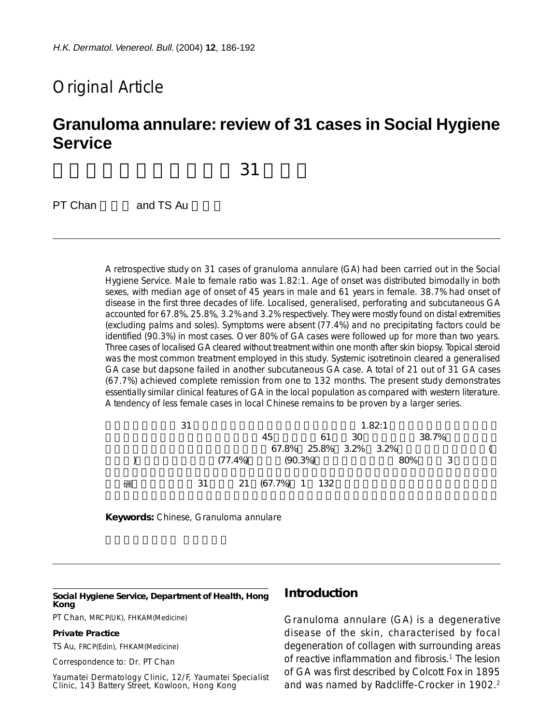# Original Article

# **Granuloma annulare: review of 31 cases in Social Hygiene Service**

 $31$ 

PT Chan and TS Au

A retrospective study on 31 cases of granuloma annulare (GA) had been carried out in the Social Hygiene Service. Male to female ratio was 1.82:1. Age of onset was distributed bimodally in both sexes, with median age of onset of 45 years in male and 61 years in female. 38.7% had onset of disease in the first three decades of life. Localised, generalised, perforating and subcutaneous GA accounted for 67.8%, 25.8%, 3.2% and 3.2% respectively. They were mostly found on distal extremities (excluding palms and soles). Symptoms were absent (77.4%) and no precipitating factors could be identified (90.3%) in most cases. Over 80% of GA cases were followed up for more than two years. Three cases of localised GA cleared without treatment within one month after skin biopsy. Topical steroid was the most common treatment employed in this study. Systemic isotretinoin cleared a generalised GA case but dapsone failed in another subcutaneous GA case. A total of 21 out of 31 GA cases (67.7%) achieved complete remission from one to 132 months. The present study demonstrates essentially similar clinical features of GA in the local population as compared with western literature. A tendency of less female cases in local Chinese remains to be proven by a larger series.

|   | 31 |                       |                       |      | 1.82:1 |                            |  |
|---|----|-----------------------|-----------------------|------|--------|----------------------------|--|
|   |    | 45                    | 61                    | - 30 |        | 38.7%                      |  |
|   |    |                       | 67.8% 25.8% 3.2% 3.2% |      |        |                            |  |
|   |    | $(77.4\%)$ $(90.3\%)$ |                       |      | 80%    | $\overline{\phantom{a}}$ 3 |  |
| 碸 |    | 31 21 (67.7%) 1 132   |                       |      |        |                            |  |

**Keywords:** Chinese, Granuloma annulare

#### **Social Hygiene Service, Department of Health, Hong Kong**

PT Chan, MRCP(UK), FHKAM(Medicine)

#### **Private Practice**

TS Au, FRCP(Edin), FHKAM(Medicine)

Correspondence to: Dr. PT Chan

Yaumatei Dermatology Clinic, 12/F, Yaumatei Specialist Clinic, 143 Battery Street, Kowloon, Hong Kong

### **Introduction**

Granuloma annulare (GA) is a degenerative disease of the skin, characterised by focal degeneration of collagen with surrounding areas of reactive inflammation and fibrosis.<sup>1</sup> The lesion of GA was first described by Colcott Fox in 1895 and was named by Radcliffe-Crocker in 1902.<sup>2</sup>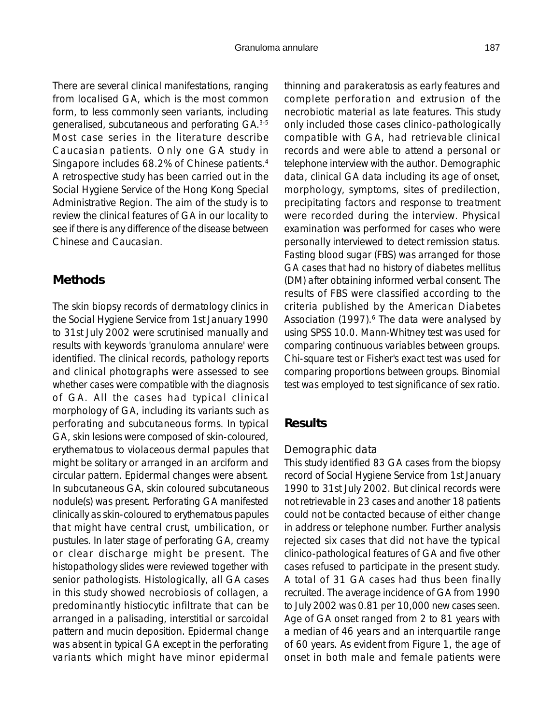There are several clinical manifestations, ranging from localised GA, which is the most common form, to less commonly seen variants, including generalised, subcutaneous and perforating GA.3-5 Most case series in the literature describe Caucasian patients. Only one GA study in Singapore includes 68.2% of Chinese patients.4 A retrospective study has been carried out in the Social Hygiene Service of the Hong Kong Special Administrative Region. The aim of the study is to review the clinical features of GA in our locality to see if there is any difference of the disease between Chinese and Caucasian.

## **Methods**

The skin biopsy records of dermatology clinics in the Social Hygiene Service from 1st January 1990 to 31st July 2002 were scrutinised manually and results with keywords 'granuloma annulare' were identified. The clinical records, pathology reports and clinical photographs were assessed to see whether cases were compatible with the diagnosis of GA. All the cases had typical clinical morphology of GA, including its variants such as perforating and subcutaneous forms. In typical GA, skin lesions were composed of skin-coloured, erythematous to violaceous dermal papules that might be solitary or arranged in an arciform and circular pattern. Epidermal changes were absent. In subcutaneous GA, skin coloured subcutaneous nodule(s) was present. Perforating GA manifested clinically as skin-coloured to erythematous papules that might have central crust, umbilication, or pustules. In later stage of perforating GA, creamy or clear discharge might be present. The histopathology slides were reviewed together with senior pathologists. Histologically, all GA cases in this study showed necrobiosis of collagen, a predominantly histiocytic infiltrate that can be arranged in a palisading, interstitial or sarcoidal pattern and mucin deposition. Epidermal change was absent in typical GA except in the perforating variants which might have minor epidermal thinning and parakeratosis as early features and complete perforation and extrusion of the necrobiotic material as late features. This study only included those cases clinico-pathologically compatible with GA, had retrievable clinical records and were able to attend a personal or telephone interview with the author. Demographic data, clinical GA data including its age of onset, morphology, symptoms, sites of predilection, precipitating factors and response to treatment were recorded during the interview. Physical examination was performed for cases who were personally interviewed to detect remission status. Fasting blood sugar (FBS) was arranged for those GA cases that had no history of diabetes mellitus (DM) after obtaining informed verbal consent. The results of FBS were classified according to the criteria published by the American Diabetes Association (1997).<sup>6</sup> The data were analysed by using SPSS 10.0. Mann-Whitney test was used for comparing continuous variables between groups. Chi-square test or Fisher's exact test was used for comparing proportions between groups. Binomial test was employed to test significance of sex ratio.

## **Results**

## *Demographic data*

This study identified 83 GA cases from the biopsy record of Social Hygiene Service from 1st January 1990 to 31st July 2002. But clinical records were not retrievable in 23 cases and another 18 patients could not be contacted because of either change in address or telephone number. Further analysis rejected six cases that did not have the typical clinico-pathological features of GA and five other cases refused to participate in the present study. A total of 31 GA cases had thus been finally recruited. The average incidence of GA from 1990 to July 2002 was 0.81 per 10,000 new cases seen. Age of GA onset ranged from 2 to 81 years with a median of 46 years and an interquartile range of 60 years. As evident from Figure 1, the age of onset in both male and female patients were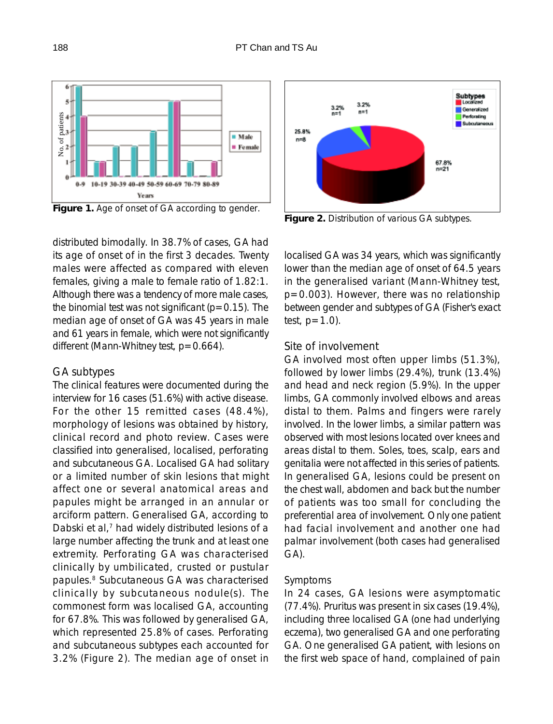

distributed bimodally. In 38.7% of cases, GA had its age of onset of in the first 3 decades. Twenty males were affected as compared with eleven females, giving a male to female ratio of 1.82:1. Although there was a tendency of more male cases, the binomial test was not significant ( $p=0.15$ ). The median age of onset of GA was 45 years in male and 61 years in female, which were not significantly different (Mann-Whitney test, p=0.664).

#### *GA subtypes*

The clinical features were documented during the interview for 16 cases (51.6%) with active disease. For the other 15 remitted cases (48.4%), morphology of lesions was obtained by history, clinical record and photo review. Cases were classified into generalised, localised, perforating and subcutaneous GA. Localised GA had solitary or a limited number of skin lesions that might affect one or several anatomical areas and papules might be arranged in an annular or arciform pattern. Generalised GA, according to Dabski et al,<sup>7</sup> had widely distributed lesions of a large number affecting the trunk and at least one extremity. Perforating GA was characterised clinically by umbilicated, crusted or pustular papules.8 Subcutaneous GA was characterised clinically by subcutaneous nodule(s). The commonest form was localised GA, accounting for 67.8%. This was followed by generalised GA, which represented 25.8% of cases. Perforating and subcutaneous subtypes each accounted for 3.2% (Figure 2). The median age of onset in



**Figure 2.** Distribution of various GA subtypes.

localised GA was 34 years, which was significantly lower than the median age of onset of 64.5 years in the generalised variant (Mann-Whitney test, p=0.003). However, there was no relationship between gender and subtypes of GA (Fisher's exact test,  $p=1.0$ ).

### *Site of involvement*

GA involved most often upper limbs (51.3%), followed by lower limbs (29.4%), trunk (13.4%) and head and neck region (5.9%). In the upper limbs, GA commonly involved elbows and areas distal to them. Palms and fingers were rarely involved. In the lower limbs, a similar pattern was observed with most lesions located over knees and areas distal to them. Soles, toes, scalp, ears and genitalia were not affected in this series of patients. In generalised GA, lesions could be present on the chest wall, abdomen and back but the number of patients was too small for concluding the preferential area of involvement. Only one patient had facial involvement and another one had palmar involvement (both cases had generalised GA).

#### *Symptoms*

In 24 cases, GA lesions were asymptomatic (77.4%). Pruritus was present in six cases (19.4%), including three localised GA (one had underlying eczema), two generalised GA and one perforating GA. One generalised GA patient, with lesions on the first web space of hand, complained of pain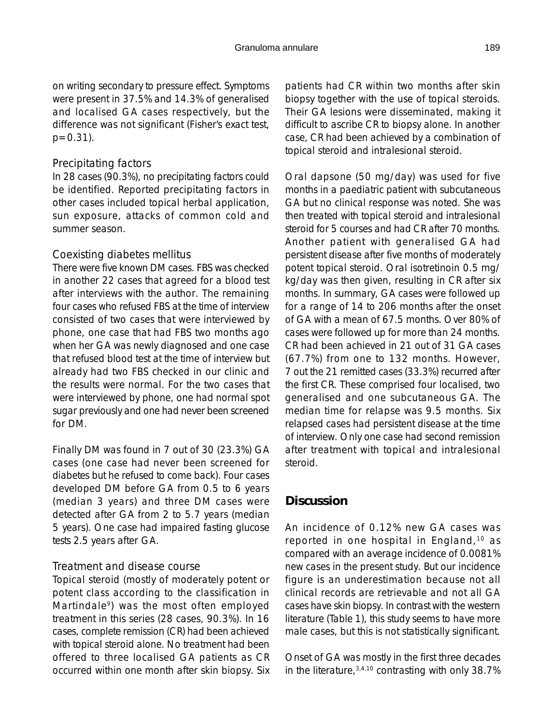on writing secondary to pressure effect. Symptoms were present in 37.5% and 14.3% of generalised and localised GA cases respectively, but the difference was not significant (Fisher's exact test,  $p=0.31$ ).

## *Precipitating factors*

In 28 cases (90.3%), no precipitating factors could be identified. Reported precipitating factors in other cases included topical herbal application, sun exposure, attacks of common cold and summer season.

## *Coexisting diabetes mellitus*

There were five known DM cases. FBS was checked in another 22 cases that agreed for a blood test after interviews with the author. The remaining four cases who refused FBS at the time of interview consisted of two cases that were interviewed by phone, one case that had FBS two months ago when her GA was newly diagnosed and one case that refused blood test at the time of interview but already had two FBS checked in our clinic and the results were normal. For the two cases that were interviewed by phone, one had normal spot sugar previously and one had never been screened for DM.

Finally DM was found in 7 out of 30 (23.3%) GA cases (one case had never been screened for diabetes but he refused to come back). Four cases developed DM before GA from 0.5 to 6 years (median 3 years) and three DM cases were detected after GA from 2 to 5.7 years (median 5 years). One case had impaired fasting glucose tests 2.5 years after GA.

## *Treatment and disease course*

Topical steroid (mostly of moderately potent or potent class according to the classification in Martindale<sup>9</sup>) was the most often employed treatment in this series (28 cases, 90.3%). In 16 cases, complete remission (CR) had been achieved with topical steroid alone. No treatment had been offered to three localised GA patients as CR occurred within one month after skin biopsy. Six

patients had CR within two months after skin biopsy together with the use of topical steroids. Their GA lesions were disseminated, making it difficult to ascribe CR to biopsy alone. In another case, CR had been achieved by a combination of topical steroid and intralesional steroid.

Oral dapsone (50 mg/day) was used for five months in a paediatric patient with subcutaneous GA but no clinical response was noted. She was then treated with topical steroid and intralesional steroid for 5 courses and had CR after 70 months. Another patient with generalised GA had persistent disease after five months of moderately potent topical steroid. Oral isotretinoin 0.5 mg/ kg/day was then given, resulting in CR after six months. In summary, GA cases were followed up for a range of 14 to 206 months after the onset of GA with a mean of 67.5 months. Over 80% of cases were followed up for more than 24 months. CR had been achieved in 21 out of 31 GA cases (67.7%) from one to 132 months. However, 7 out the 21 remitted cases (33.3%) recurred after the first CR. These comprised four localised, two generalised and one subcutaneous GA. The median time for relapse was 9.5 months. Six relapsed cases had persistent disease at the time of interview. Only one case had second remission after treatment with topical and intralesional steroid.

## **Discussion**

An incidence of 0.12% new GA cases was reported in one hospital in England,10 as compared with an average incidence of 0.0081% new cases in the present study. But our incidence figure is an underestimation because not all clinical records are retrievable and not all GA cases have skin biopsy. In contrast with the western literature (Table 1), this study seems to have more male cases, but this is not statistically significant.

Onset of GA was mostly in the first three decades in the literature,  $3,4,10$  contrasting with only 38.7%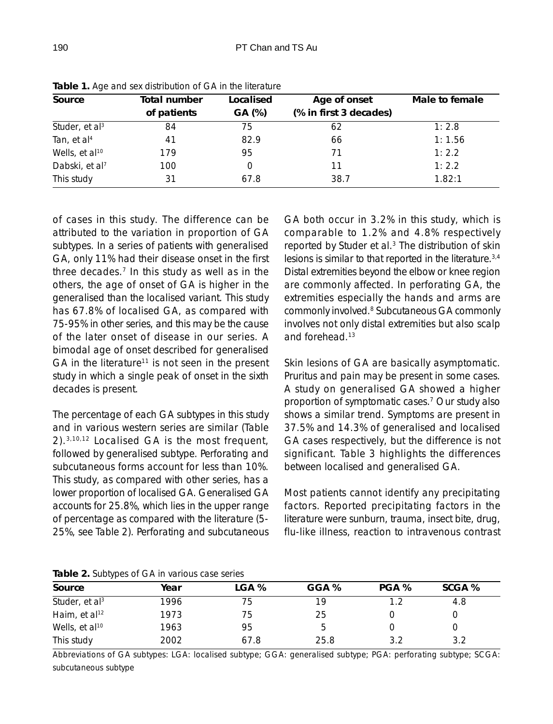| Source                     | Total number | Localised | Age of onset           | Male to female |  |
|----------------------------|--------------|-----------|------------------------|----------------|--|
|                            | of patients  | GA (%)    | (% in first 3 decades) |                |  |
| Studer, et al <sup>3</sup> | 84           | 75        | 62                     | 1:2.8          |  |
| Tan, et al <sup>4</sup>    | 41           | 82.9      | 66                     | 1:1.56         |  |
| Wells, et al <sup>10</sup> | 179          | 95        | 71                     | 1:2.2          |  |
| Dabski, et al <sup>7</sup> | 100          |           | 11                     | 1:2.2          |  |
| This study                 |              | 67.8      | 38.7                   | 1.82:1         |  |

**Table 1.** Age and sex distribution of GA in the literature

of cases in this study. The difference can be attributed to the variation in proportion of GA subtypes. In a series of patients with generalised GA, only 11% had their disease onset in the first three decades.<sup>7</sup> In this study as well as in the others, the age of onset of GA is higher in the generalised than the localised variant. This study has 67.8% of localised GA, as compared with 75-95% in other series, and this may be the cause of the later onset of disease in our series. A bimodal age of onset described for generalised GA in the literature<sup>11</sup> is not seen in the present study in which a single peak of onset in the sixth decades is present.

The percentage of each GA subtypes in this study and in various western series are similar (Table 2).3,10,12 Localised GA is the most frequent, followed by generalised subtype. Perforating and subcutaneous forms account for less than 10%. This study, as compared with other series, has a lower proportion of localised GA. Generalised GA accounts for 25.8%, which lies in the upper range of percentage as compared with the literature (5- 25%, see Table 2). Perforating and subcutaneous GA both occur in 3.2% in this study, which is comparable to 1.2% and 4.8% respectively reported by Studer et al.<sup>3</sup> The distribution of skin lesions is similar to that reported in the literature.3,4 Distal extremities beyond the elbow or knee region are commonly affected. In perforating GA, the extremities especially the hands and arms are commonly involved.<sup>8</sup> Subcutaneous GA commonly involves not only distal extremities but also scalp and forehead.13

Skin lesions of GA are basically asymptomatic. Pruritus and pain may be present in some cases. A study on generalised GA showed a higher proportion of symptomatic cases.7 Our study also shows a similar trend. Symptoms are present in 37.5% and 14.3% of generalised and localised GA cases respectively, but the difference is not significant. Table 3 highlights the differences between localised and generalised GA.

Most patients cannot identify any precipitating factors. Reported precipitating factors in the literature were sunburn, trauma, insect bite, drug, flu-like illness, reaction to intravenous contrast

**Table 2.** Subtypes of GA in various case series

| Source                     | Year | LGA % | GGA % | PGA % | SCGA % |
|----------------------------|------|-------|-------|-------|--------|
| Studer, et al <sup>3</sup> | 1996 | 75    | 19    |       | 4.8    |
| Haim, et al <sup>12</sup>  | 1973 | 75    | 25    |       |        |
| Wells, et al <sup>10</sup> | 1963 | 95    | b     |       |        |
| This study                 | 2002 | 67.8  | 25.8  | 3.2   | 3.2    |

Abbreviations of GA subtypes: LGA: localised subtype; GGA: generalised subtype; PGA: perforating subtype; SCGA: subcutaneous subtype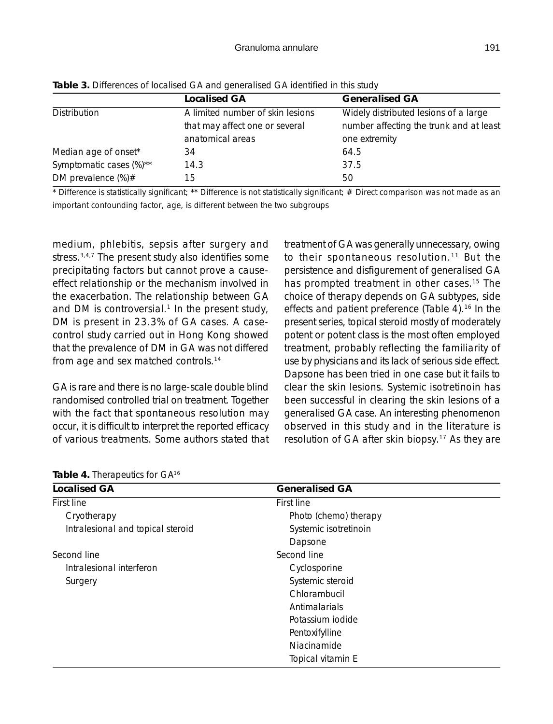|                         | <b>Localised GA</b>              | <b>Generalised GA</b>                   |
|-------------------------|----------------------------------|-----------------------------------------|
| Distribution            | A limited number of skin lesions | Widely distributed lesions of a large   |
|                         | that may affect one or several   | number affecting the trunk and at least |
|                         | anatomical areas                 | one extremity                           |
| Median age of onset*    | 34                               | 64.5                                    |
| Symptomatic cases (%)** | 14.3                             | 37.5                                    |
| DM prevalence $(\%) \#$ | 15                               | 50                                      |

**Table 3.** Differences of localised GA and generalised GA identified in this study

\* Difference is statistically significant; \*\* Difference is not statistically significant; # Direct comparison was not made as an important confounding factor, age, is different between the two subgroups

medium, phlebitis, sepsis after surgery and stress.<sup>3,4,7</sup> The present study also identifies some precipitating factors but cannot prove a causeeffect relationship or the mechanism involved in the exacerbation. The relationship between GA and DM is controversial. $1$  In the present study, DM is present in 23.3% of GA cases. A casecontrol study carried out in Hong Kong showed that the prevalence of DM in GA was not differed from age and sex matched controls.14

GA is rare and there is no large-scale double blind randomised controlled trial on treatment. Together with the fact that spontaneous resolution may occur, it is difficult to interpret the reported efficacy of various treatments. Some authors stated that treatment of GA was generally unnecessary, owing to their spontaneous resolution.<sup>11</sup> But the persistence and disfigurement of generalised GA has prompted treatment in other cases.<sup>15</sup> The choice of therapy depends on GA subtypes, side effects and patient preference (Table 4).16 In the present series, topical steroid mostly of moderately potent or potent class is the most often employed treatment, probably reflecting the familiarity of use by physicians and its lack of serious side effect. Dapsone has been tried in one case but it fails to clear the skin lesions. Systemic isotretinoin has been successful in clearing the skin lesions of a generalised GA case. An interesting phenomenon observed in this study and in the literature is resolution of GA after skin biopsy.17 As they are

| <b>Table 4. Therapeutics for GATE</b> |                       |  |  |
|---------------------------------------|-----------------------|--|--|
| <b>Localised GA</b>                   | <b>Generalised GA</b> |  |  |
| First line                            | First line            |  |  |
| Cryotherapy                           | Photo (chemo) therapy |  |  |
| Intralesional and topical steroid     | Systemic isotretinoin |  |  |
|                                       | Dapsone               |  |  |
| Second line                           | Second line           |  |  |
| Intralesional interferon              | Cyclosporine          |  |  |
| Surgery                               | Systemic steroid      |  |  |
|                                       | Chlorambucil          |  |  |
|                                       | Antimalarials         |  |  |
|                                       | Potassium jodide      |  |  |
|                                       | Pentoxifylline        |  |  |
|                                       | Niacinamide           |  |  |
|                                       | Topical vitamin E     |  |  |

**Table 4.** Therapeutics for GA16